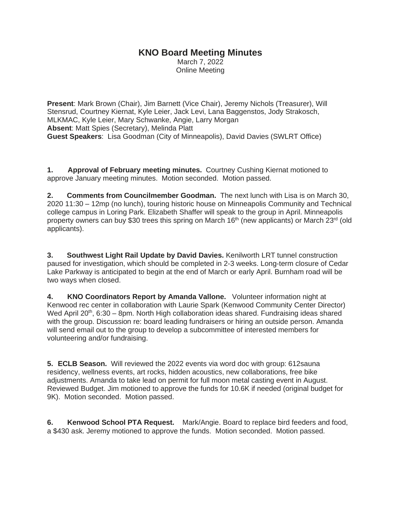## **KNO Board Meeting Minutes**

March 7, 2022 Online Meeting

**Present**: Mark Brown (Chair), Jim Barnett (Vice Chair), Jeremy Nichols (Treasurer), Will Stensrud, Courtney Kiernat, Kyle Leier, Jack Levi, Lana Baggenstos, Jody Strakosch, MLKMAC, Kyle Leier, Mary Schwanke, Angie, Larry Morgan **Absent**: Matt Spies (Secretary), Melinda Platt **Guest Speakers**: Lisa Goodman (City of Minneapolis), David Davies (SWLRT Office)

**1. Approval of February meeting minutes.** Courtney Cushing Kiernat motioned to approve January meeting minutes. Motion seconded. Motion passed.

**2. Comments from Councilmember Goodman.** The next lunch with Lisa is on March 30, 2020 11:30 – 12mp (no lunch), touring historic house on Minneapolis Community and Technical college campus in Loring Park. Elizabeth Shaffer will speak to the group in April. Minneapolis property owners can buy \$30 trees this spring on March 16<sup>th</sup> (new applicants) or March 23<sup>rd</sup> (old applicants).

**3. Southwest Light Rail Update by David Davies.** Kenilworth LRT tunnel construction paused for investigation, which should be completed in 2-3 weeks. Long-term closure of Cedar Lake Parkway is anticipated to begin at the end of March or early April. Burnham road will be two ways when closed.

**4. KNO Coordinators Report by Amanda Vallone.** Volunteer information night at Kenwood rec center in collaboration with Laurie Spark (Kenwood Community Center Director) Wed April 20<sup>th</sup>, 6:30 – 8pm. North High collaboration ideas shared. Fundraising ideas shared with the group. Discussion re: board leading fundraisers or hiring an outside person. Amanda will send email out to the group to develop a subcommittee of interested members for volunteering and/or fundraising.

**5. ECLB Season.** Will reviewed the 2022 events via word doc with group: 612sauna residency, wellness events, art rocks, hidden acoustics, new collaborations, free bike adjustments. Amanda to take lead on permit for full moon metal casting event in August. Reviewed Budget. Jim motioned to approve the funds for 10.6K if needed (original budget for 9K). Motion seconded. Motion passed.

**6. Kenwood School PTA Request.** Mark/Angie. Board to replace bird feeders and food, a \$430 ask. Jeremy motioned to approve the funds. Motion seconded. Motion passed.